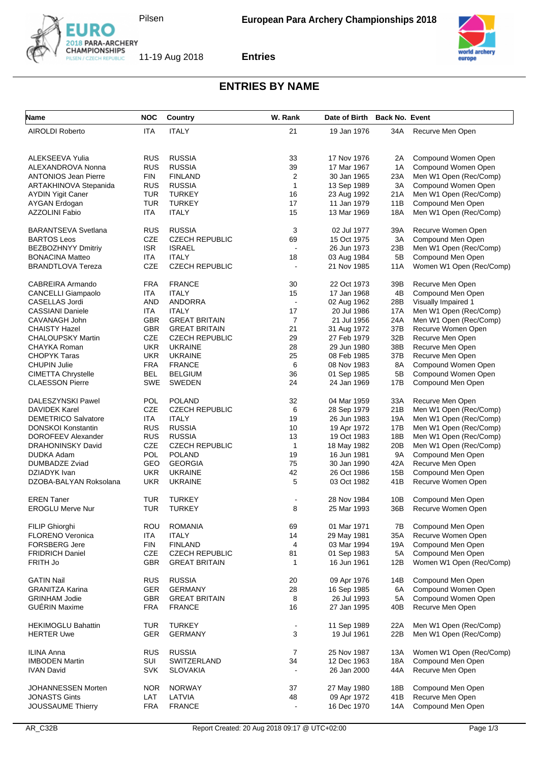



**Entries**

## **ENTRIES BY NAME**

| <b>Name</b>                 | <b>NOC</b> | Country               | W. Rank        | Date of Birth Back No. Event |           |                          |
|-----------------------------|------------|-----------------------|----------------|------------------------------|-----------|--------------------------|
| <b>AIROLDI Roberto</b>      | <b>ITA</b> | <b>ITALY</b>          | 21             | 19 Jan 1976                  | 34A       | Recurve Men Open         |
|                             |            |                       |                |                              |           |                          |
| ALEKSEEVA Yulia             | <b>RUS</b> | <b>RUSSIA</b>         | 33             | 17 Nov 1976                  | 2A        | Compound Women Open      |
| ALEXANDROVA Nonna           | <b>RUS</b> | <b>RUSSIA</b>         | 39             | 17 Mar 1967                  | 1A        | Compound Women Open      |
| <b>ANTONIOS Jean Pierre</b> | <b>FIN</b> | <b>FINLAND</b>        | 2              | 30 Jan 1965                  | 23A       | Men W1 Open (Rec/Comp)   |
| ARTAKHINOVA Stepanida       | <b>RUS</b> | <b>RUSSIA</b>         | $\mathbf{1}$   | 13 Sep 1989                  | 3A        | Compound Women Open      |
|                             |            |                       | 16             |                              |           | Men W1 Open (Rec/Comp)   |
| <b>AYDIN Yigit Caner</b>    | <b>TUR</b> | <b>TURKEY</b>         |                | 23 Aug 1992                  | 21A       |                          |
| AYGAN Erdogan               | <b>TUR</b> | <b>TURKEY</b>         | 17             | 11 Jan 1979                  | 11B       | Compound Men Open        |
| <b>AZZOLINI Fabio</b>       | ITA        | <b>ITALY</b>          | 15             | 13 Mar 1969                  | 18A       | Men W1 Open (Rec/Comp)   |
| <b>BARANTSEVA Svetlana</b>  | <b>RUS</b> | <b>RUSSIA</b>         | 3              | 02 Jul 1977                  | 39A       | Recurve Women Open       |
| <b>BARTOS Leos</b>          | CZE        | <b>CZECH REPUBLIC</b> | 69             | 15 Oct 1975                  | 3A        | Compound Men Open        |
| <b>BEZBOZHNYY Dmitriy</b>   | <b>ISR</b> | <b>ISRAEL</b>         | $\blacksquare$ | 26 Jun 1973                  | 23B       | Men W1 Open (Rec/Comp)   |
| <b>BONACINA Matteo</b>      | <b>ITA</b> | <b>ITALY</b>          | 18             | 03 Aug 1984                  | 5B        | Compound Men Open        |
| <b>BRANDTLOVA Tereza</b>    | CZE        | <b>CZECH REPUBLIC</b> |                | 21 Nov 1985                  | 11A       | Women W1 Open (Rec/Comp) |
|                             |            |                       |                |                              |           |                          |
| CABREIRA Armando            | <b>FRA</b> | <b>FRANCE</b>         | 30             | 22 Oct 1973                  | 39B       | Recurve Men Open         |
| <b>CANCELLI Giampaolo</b>   | ITA        | <b>ITALY</b>          | 15             | 17 Jan 1968                  | 4B        | Compound Men Open        |
| CASELLAS Jordi              | <b>AND</b> | <b>ANDORRA</b>        | $\blacksquare$ | 02 Aug 1962                  | 28B       | Visually Impaired 1      |
| <b>CASSIANI Daniele</b>     | ITA        | <b>ITALY</b>          | 17             | 20 Jul 1986                  | 17A       | Men W1 Open (Rec/Comp)   |
| CAVANAGH John               | <b>GBR</b> | <b>GREAT BRITAIN</b>  | 7              | 21 Jul 1956                  | 24A       | Men W1 Open (Rec/Comp)   |
| <b>CHAISTY Hazel</b>        | <b>GBR</b> | <b>GREAT BRITAIN</b>  | 21             | 31 Aug 1972                  | 37B       | Recurve Women Open       |
| <b>CHALOUPSKY Martin</b>    | CZE        | <b>CZECH REPUBLIC</b> | 29             | 27 Feb 1979                  | 32B       | Recurve Men Open         |
| CHAYKA Roman                | <b>UKR</b> | <b>UKRAINE</b>        | 28             | 29 Jun 1980                  | 38B       | Recurve Men Open         |
| CHOPYK Taras                | <b>UKR</b> | <b>UKRAINE</b>        | 25             | 08 Feb 1985                  | 37B       | Recurve Men Open         |
| <b>CHUPIN Julie</b>         | <b>FRA</b> | <b>FRANCE</b>         | 6              | 08 Nov 1983                  | 8A        | Compound Women Open      |
| <b>CIMETTA Chrystelle</b>   | <b>BEL</b> | <b>BELGIUM</b>        | 36             | 01 Sep 1985                  | 5B        | Compound Women Open      |
| <b>CLAESSON Pierre</b>      | <b>SWE</b> | <b>SWEDEN</b>         | 24             | 24 Jan 1969                  | 17B       | Compound Men Open        |
|                             |            |                       |                |                              |           |                          |
| DALESZYNSKI Pawel           | POL        | <b>POLAND</b>         | 32             | 04 Mar 1959                  | 33A       | Recurve Men Open         |
| <b>DAVIDEK Karel</b>        | CZE        | <b>CZECH REPUBLIC</b> | 6              | 28 Sep 1979                  | 21B       | Men W1 Open (Rec/Comp)   |
| <b>DEMETRICO Salvatore</b>  | ITA        | <b>ITALY</b>          | 19             | 26 Jun 1983                  | 19A       | Men W1 Open (Rec/Comp)   |
| DONSKOI Konstantin          | <b>RUS</b> | <b>RUSSIA</b>         | 10             | 19 Apr 1972                  | 17B       | Men W1 Open (Rec/Comp)   |
| DOROFEEV Alexander          | <b>RUS</b> | <b>RUSSIA</b>         | 13             | 19 Oct 1983                  | 18B       | Men W1 Open (Rec/Comp)   |
| DRAHONINSKY David           | <b>CZE</b> | <b>CZECH REPUBLIC</b> | $\mathbf{1}$   | 18 May 1982                  | 20B       | Men W1 Open (Rec/Comp)   |
| DUDKA Adam                  | POL        | <b>POLAND</b>         | 19             | 16 Jun 1981                  | <b>9A</b> | Compound Men Open        |
| DUMBADZE Zviad              | GEO        | <b>GEORGIA</b>        | 75             | 30 Jan 1990                  | 42A       | Recurve Men Open         |
| DZIADYK Ivan                | <b>UKR</b> | <b>UKRAINE</b>        | 42             | 26 Oct 1986                  | 15B       | Compound Men Open        |
| DZOBA-BALYAN Roksolana      | <b>UKR</b> | <b>UKRAINE</b>        | 5              | 03 Oct 1982                  | 41B       | Recurve Women Open       |
|                             |            |                       |                |                              |           |                          |
| <b>EREN Taner</b>           | TUR        | <b>TURKEY</b>         |                | 28 Nov 1984                  | 10B       | Compound Men Open        |
| <b>EROGLU Merve Nur</b>     | TUR        | <b>TURKEY</b>         | 8              | 25 Mar 1993                  | 36B       | Recurve Women Open       |
| FILIP Ghiorghi              | ROU        | <b>ROMANIA</b>        | 69             | 01 Mar 1971                  | 7B        | Compound Men Open        |
|                             |            |                       |                |                              |           |                          |
| <b>FLORENO Veronica</b>     | <b>ITA</b> | <b>ITALY</b>          | 14             | 29 May 1981                  | 35A       | Recurve Women Open       |
| <b>FORSBERG Jere</b>        | <b>FIN</b> | <b>FINLAND</b>        | 4              | 03 Mar 1994                  | 19A       | Compound Men Open        |
| <b>FRIDRICH Daniel</b>      | CZE        | <b>CZECH REPUBLIC</b> | 81             | 01 Sep 1983                  | 5A        | Compound Men Open        |
| FRITH Jo                    | <b>GBR</b> | <b>GREAT BRITAIN</b>  | 1              | 16 Jun 1961                  | 12B       | Women W1 Open (Rec/Comp) |
| <b>GATIN Nail</b>           | <b>RUS</b> | <b>RUSSIA</b>         | 20             | 09 Apr 1976                  | 14B       | Compound Men Open        |
| <b>GRANITZA Karina</b>      | <b>GER</b> | <b>GERMANY</b>        | 28             | 16 Sep 1985                  | 6A        | Compound Women Open      |
| <b>GRINHAM Jodie</b>        | <b>GBR</b> | <b>GREAT BRITAIN</b>  | 8              | 26 Jul 1993                  | 5A        | Compound Women Open      |
| GUÉRIN Maxime               | <b>FRA</b> | <b>FRANCE</b>         | 16             | 27 Jan 1995                  | 40B       | Recurve Men Open         |
|                             |            |                       |                |                              |           |                          |
| <b>HEKIMOGLU Bahattin</b>   | <b>TUR</b> | <b>TURKEY</b>         |                | 11 Sep 1989                  | 22A       | Men W1 Open (Rec/Comp)   |
| <b>HERTER Uwe</b>           | <b>GER</b> | <b>GERMANY</b>        | 3              | 19 Jul 1961                  | 22B       | Men W1 Open (Rec/Comp)   |
| <b>ILINA Anna</b>           | <b>RUS</b> | <b>RUSSIA</b>         | 7              | 25 Nov 1987                  | 13A       | Women W1 Open (Rec/Comp) |
| <b>IMBODEN Martin</b>       | SUI        | SWITZERLAND           | 34             | 12 Dec 1963                  | 18A       | Compound Men Open        |
| <b>IVAN David</b>           | <b>SVK</b> | <b>SLOVAKIA</b>       |                | 26 Jan 2000                  | 44A       | Recurve Men Open         |
|                             |            |                       |                |                              |           |                          |
| JOHANNESSEN Morten          | <b>NOR</b> | <b>NORWAY</b>         | 37             | 27 May 1980                  | 18B       | Compound Men Open        |
| <b>JONASTS Gints</b>        | LAT        | LATVIA                | 48             | 09 Apr 1972                  | 41B       | Recurve Men Open         |
| JOUSSAUME Thierry           | <b>FRA</b> | <b>FRANCE</b>         |                | 16 Dec 1970                  | 14A       | Compound Men Open        |
|                             |            |                       |                |                              |           |                          |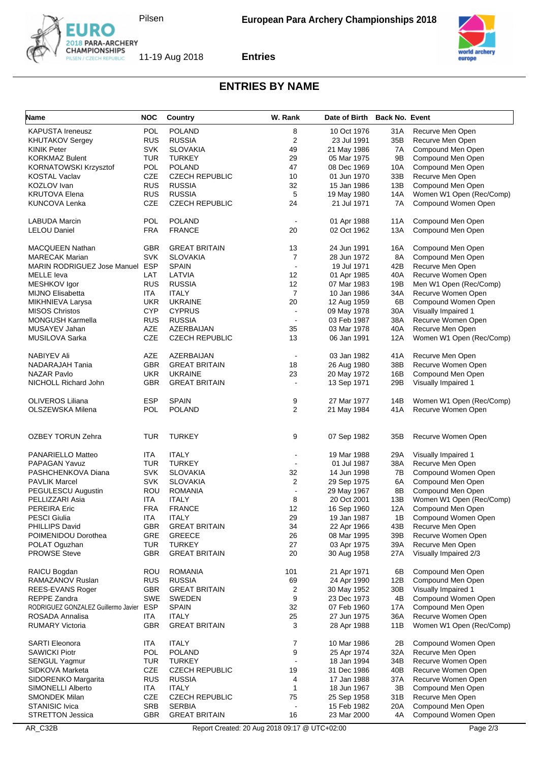



**Entries**



## **ENTRIES BY NAME**

| Name                                    | <b>NOC</b> | Country               | W. Rank                  | Date of Birth | <b>Back No. Event</b> |                          |
|-----------------------------------------|------------|-----------------------|--------------------------|---------------|-----------------------|--------------------------|
| <b>KAPUSTA Ireneusz</b>                 | POL        | <b>POLAND</b>         | 8                        | 10 Oct 1976   | 31A                   | Recurve Men Open         |
| <b>KHUTAKOV Sergey</b>                  | <b>RUS</b> | <b>RUSSIA</b>         | 2                        | 23 Jul 1991   | 35B                   | Recurve Men Open         |
| <b>KINIK Peter</b>                      | <b>SVK</b> | <b>SLOVAKIA</b>       | 49                       | 21 May 1986   | 7A                    | Compound Men Open        |
| <b>KORKMAZ Bulent</b>                   | TUR        | <b>TURKEY</b>         | 29                       | 05 Mar 1975   | 9Β                    | Compound Men Open        |
| <b>KORNATOWSKI Krzysztof</b>            | POL        | <b>POLAND</b>         | 47                       | 08 Dec 1969   | 10A                   | Compound Men Open        |
| <b>KOSTAL Vaclav</b>                    | CZE        | <b>CZECH REPUBLIC</b> | 10                       | 01 Jun 1970   | 33B                   | Recurve Men Open         |
| KOZLOV Ivan                             | <b>RUS</b> | <b>RUSSIA</b>         | 32                       | 15 Jan 1986   | 13B                   | Compound Men Open        |
| <b>KRUTOVA Elena</b>                    | <b>RUS</b> | <b>RUSSIA</b>         | 5                        | 19 May 1980   | 14A                   | Women W1 Open (Rec/Comp) |
| <b>KUNCOVA Lenka</b>                    | CZE        | <b>CZECH REPUBLIC</b> | 24                       | 21 Jul 1971   | 7A                    | Compound Women Open      |
| <b>LABUDA Marcin</b>                    | <b>POL</b> | <b>POLAND</b>         | $\blacksquare$           | 01 Apr 1988   | 11A                   | Compound Men Open        |
| <b>LELOU Daniel</b>                     | FRA        | <b>FRANCE</b>         | 20                       | 02 Oct 1962   | 13A                   | Compound Men Open        |
| <b>MACQUEEN Nathan</b>                  | GBR        | <b>GREAT BRITAIN</b>  | 13                       | 24 Jun 1991   | 16A                   | Compound Men Open        |
| <b>MARECAK Marian</b>                   | <b>SVK</b> | <b>SLOVAKIA</b>       | 7                        | 28 Jun 1972   | 8A                    | Compound Men Open        |
| MARIN RODRIGUEZ Jose Manuel ESP         |            | <b>SPAIN</b>          | $\overline{\phantom{a}}$ | 19 Jul 1971   | 42B                   | Recurve Men Open         |
| <b>MELLE</b> leva                       | LAT        | LATVIA                | 12                       | 01 Apr 1985   | 40A                   | Recurve Women Open       |
| MESHKOV Igor                            | <b>RUS</b> | <b>RUSSIA</b>         | 12                       | 07 Mar 1983   | 19B                   | Men W1 Open (Rec/Comp)   |
| <b>MIJNO Elisabetta</b>                 | ITA        | <b>ITALY</b>          | $\overline{7}$           | 10 Jan 1986   | 34A                   | Recurve Women Open       |
| MIKHNIEVA Larysa                        | <b>UKR</b> | <b>UKRAINE</b>        | 20                       | 12 Aug 1959   | 6B                    | Compound Women Open      |
| <b>MISOS Christos</b>                   | <b>CYP</b> | <b>CYPRUS</b>         | $\ddot{\phantom{a}}$     | 09 May 1978   | 30A                   | Visually Impaired 1      |
| <b>MONGUSH Karmella</b>                 | <b>RUS</b> | <b>RUSSIA</b>         | $\blacksquare$           | 03 Feb 1987   | 38A                   | Recurve Women Open       |
| MUSAYEV Jahan                           | AZE        | AZERBAIJAN            | 35                       | 03 Mar 1978   | 40A                   | Recurve Men Open         |
| MUSILOVA Sarka                          | <b>CZE</b> | <b>CZECH REPUBLIC</b> | 13                       | 06 Jan 1991   | 12A                   | Women W1 Open (Rec/Comp) |
| <b>NABIYEV Ali</b>                      | AZE        | AZERBAIJAN            | $\overline{\phantom{a}}$ | 03 Jan 1982   | 41A                   | Recurve Men Open         |
| NADARAJAH Tania                         | <b>GBR</b> | <b>GREAT BRITAIN</b>  | 18                       | 26 Aug 1980   | 38B                   | Recurve Women Open       |
| <b>NAZAR Pavlo</b>                      | UKR        | <b>UKRAINE</b>        | 23                       | 20 May 1972   | 16B                   | Compound Men Open        |
| NICHOLL Richard John                    | <b>GBR</b> | <b>GREAT BRITAIN</b>  |                          | 13 Sep 1971   | 29B                   | Visually Impaired 1      |
| <b>OLIVEROS Liliana</b>                 | <b>ESP</b> | <b>SPAIN</b>          | 9                        | 27 Mar 1977   | 14B                   | Women W1 Open (Rec/Comp) |
| OLSZEWSKA Milena                        | <b>POL</b> | <b>POLAND</b>         | 2                        | 21 May 1984   | 41 A                  | Recurve Women Open       |
| <b>OZBEY TORUN Zehra</b>                | TUR        | <b>TURKEY</b>         | 9                        | 07 Sep 1982   | 35B                   | Recurve Women Open       |
| PANARIELLO Matteo                       | <b>ITA</b> | <b>ITALY</b>          |                          | 19 Mar 1988   | 29A                   | Visually Impaired 1      |
| <b>PAPAGAN Yavuz</b>                    | TUR        | <b>TURKEY</b>         |                          | 01 Jul 1987   | 38A                   | Recurve Men Open         |
| PASHCHENKOVA Diana                      | <b>SVK</b> | <b>SLOVAKIA</b>       | 32                       | 14 Jun 1998   | 7B                    | Compound Women Open      |
| <b>PAVLIK Marcel</b>                    | <b>SVK</b> | <b>SLOVAKIA</b>       | 2                        | 29 Sep 1975   | 6A                    | Compound Men Open        |
| PEGULESCU Augustin                      | <b>ROU</b> | <b>ROMANIA</b>        | $\ddot{\phantom{a}}$     | 29 May 1967   | 8B                    | Compound Men Open        |
| PELLIZZARI Asia                         | <b>ITA</b> | <b>ITALY</b>          | 8                        | 20 Oct 2001   | 13B                   | Women W1 Open (Rec/Comp) |
| <b>PEREIRA Eric</b>                     | <b>FRA</b> | <b>FRANCE</b>         | 12                       | 16 Sep 1960   | 12A                   | Compound Men Open        |
| <b>PESCI Giulia</b>                     | ITA.       | <b>ITALY</b>          | 29                       | 19 Jan 1987   | 1B                    | Compound Women Open      |
| <b>PHILLIPS David</b>                   | <b>GBR</b> | <b>GREAT BRITAIN</b>  | 34                       | 22 Apr 1966   | 43B                   | Recurve Men Open         |
| POIMENIDOU Dorothea                     | <b>GRE</b> | <b>GREECE</b>         | 26                       | 08 Mar 1995   | 39B                   | Recurve Women Open       |
| POLAT Oguzhan                           | <b>TUR</b> | <b>TURKEY</b>         | 27                       | 03 Apr 1975   | 39A                   | Recurve Men Open         |
| <b>PROWSE Steve</b>                     | GBR.       | <b>GREAT BRITAIN</b>  | 20                       | 30 Aug 1958   | 27A                   | Visually Impaired 2/3    |
| RAICU Bogdan                            | ROU        | <b>ROMANIA</b>        | 101                      | 21 Apr 1971   | 6B                    | Compound Men Open        |
| RAMAZANOV Ruslan                        | <b>RUS</b> | <b>RUSSIA</b>         | 69                       | 24 Apr 1990   | 12B                   | Compound Men Open        |
| REES-EVANS Roger                        | <b>GBR</b> | <b>GREAT BRITAIN</b>  | 2                        | 30 May 1952   | 30B                   | Visually Impaired 1      |
| REPPE Zandra                            | SWE        | <b>SWEDEN</b>         | 9                        | 23 Dec 1973   | 4B                    | Compound Women Open      |
| RODRIGUEZ GONZALEZ Guillermo Javier ESP |            | <b>SPAIN</b>          | 32                       | 07 Feb 1960   | 17A                   | Compound Men Open        |
| ROSADA Annalisa                         | <b>ITA</b> | <b>ITALY</b>          | 25                       | 27 Jun 1975   | 36A                   | Recurve Women Open       |
| <b>RUMARY Victoria</b>                  | GBR        | <b>GREAT BRITAIN</b>  | 3                        | 28 Apr 1988   | 11B                   | Women W1 Open (Rec/Comp) |
| <b>SARTI Eleonora</b>                   | <b>ITA</b> | <b>ITALY</b>          | 7                        | 10 Mar 1986   | 2Β                    | Compound Women Open      |
| <b>SAWICKI Piotr</b>                    | <b>POL</b> | <b>POLAND</b>         | 9                        | 25 Apr 1974   | 32A                   | Recurve Men Open         |
| SENGUL Yagmur                           | <b>TUR</b> | <b>TURKEY</b>         | $\ddot{\phantom{a}}$     | 18 Jan 1994   | 34B                   | Recurve Women Open       |
| SIDKOVA Marketa                         | CZE        | <b>CZECH REPUBLIC</b> | 19                       | 31 Dec 1986   | 40B                   | Recurve Women Open       |
| SIDORENKO Margarita                     | <b>RUS</b> | <b>RUSSIA</b>         | 4                        | 17 Jan 1988   | 37A                   | Recurve Women Open       |
| SIMONELLI Alberto                       | ITA        | <b>ITALY</b>          | 1                        | 18 Jun 1967   | 3B                    | Compound Men Open        |
| <b>SMONDEK Milan</b>                    | CZE        | <b>CZECH REPUBLIC</b> | 75                       | 25 Sep 1958   | 31B                   | Recurve Men Open         |
| <b>STANISIC Ivica</b>                   | SRB        | <b>SERBIA</b>         |                          | 15 Feb 1982   | 20A                   | Compound Men Open        |
| <b>STRETTON Jessica</b>                 | GBR        | <b>GREAT BRITAIN</b>  | 16                       | 23 Mar 2000   | 4A                    | Compound Women Open      |